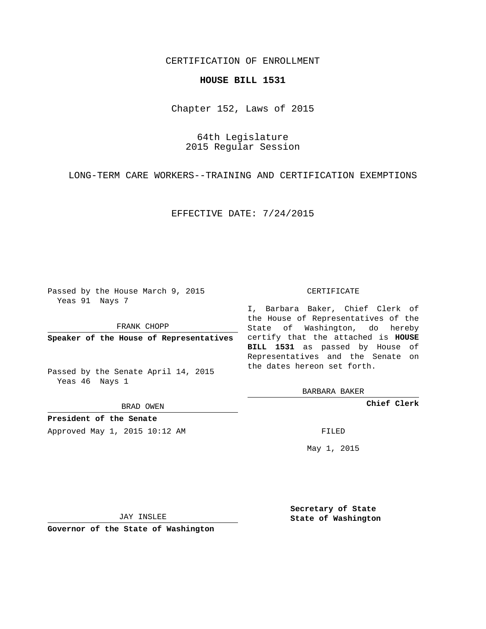## CERTIFICATION OF ENROLLMENT

## **HOUSE BILL 1531**

Chapter 152, Laws of 2015

64th Legislature 2015 Regular Session

LONG-TERM CARE WORKERS--TRAINING AND CERTIFICATION EXEMPTIONS

EFFECTIVE DATE: 7/24/2015

Passed by the House March 9, 2015 Yeas 91 Nays 7

FRANK CHOPP

Passed by the Senate April 14, 2015 Yeas 46 Nays 1

BRAD OWEN

**President of the Senate**

Approved May 1, 2015 10:12 AM FILED

## CERTIFICATE

**Speaker of the House of Representatives** certify that the attached is **HOUSE** I, Barbara Baker, Chief Clerk of the House of Representatives of the State of Washington, do hereby **BILL 1531** as passed by House of Representatives and the Senate on the dates hereon set forth.

BARBARA BAKER

**Chief Clerk**

May 1, 2015

JAY INSLEE

**Governor of the State of Washington**

**Secretary of State State of Washington**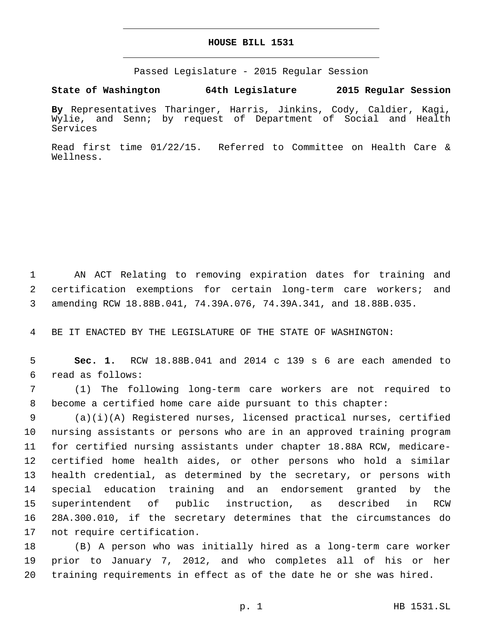## **HOUSE BILL 1531**

Passed Legislature - 2015 Regular Session

**State of Washington 64th Legislature 2015 Regular Session**

**By** Representatives Tharinger, Harris, Jinkins, Cody, Caldier, Kagi, Wylie, and Senn; by request of Department of Social and Health Services

Read first time 01/22/15. Referred to Committee on Health Care & Wellness.

 AN ACT Relating to removing expiration dates for training and certification exemptions for certain long-term care workers; and amending RCW 18.88B.041, 74.39A.076, 74.39A.341, and 18.88B.035.

BE IT ENACTED BY THE LEGISLATURE OF THE STATE OF WASHINGTON:

 **Sec. 1.** RCW 18.88B.041 and 2014 c 139 s 6 are each amended to read as follows:6

 (1) The following long-term care workers are not required to become a certified home care aide pursuant to this chapter:

 (a)(i)(A) Registered nurses, licensed practical nurses, certified nursing assistants or persons who are in an approved training program for certified nursing assistants under chapter 18.88A RCW, medicare- certified home health aides, or other persons who hold a similar health credential, as determined by the secretary, or persons with special education training and an endorsement granted by the superintendent of public instruction, as described in RCW 28A.300.010, if the secretary determines that the circumstances do 17 not require certification.

 (B) A person who was initially hired as a long-term care worker prior to January 7, 2012, and who completes all of his or her training requirements in effect as of the date he or she was hired.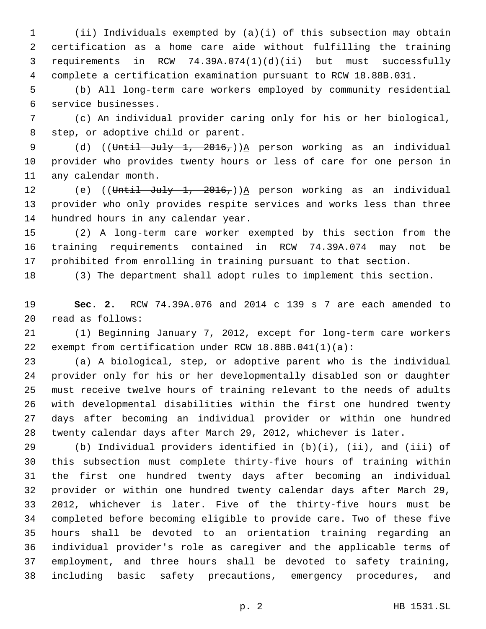(ii) Individuals exempted by (a)(i) of this subsection may obtain certification as a home care aide without fulfilling the training requirements in RCW 74.39A.074(1)(d)(ii) but must successfully complete a certification examination pursuant to RCW 18.88B.031.

 (b) All long-term care workers employed by community residential service businesses.6

 (c) An individual provider caring only for his or her biological, 8 step, or adoptive child or parent.

9 (d) ((Until July 1, 2016,))A person working as an individual provider who provides twenty hours or less of care for one person in 11 any calendar month.

12 (e) ((Until July 1, 2016,))<sup>A</sup> person working as an individual provider who only provides respite services and works less than three 14 hundred hours in any calendar year.

 (2) A long-term care worker exempted by this section from the training requirements contained in RCW 74.39A.074 may not be prohibited from enrolling in training pursuant to that section.

(3) The department shall adopt rules to implement this section.

 **Sec. 2.** RCW 74.39A.076 and 2014 c 139 s 7 are each amended to read as follows:20

 (1) Beginning January 7, 2012, except for long-term care workers exempt from certification under RCW 18.88B.041(1)(a):

 (a) A biological, step, or adoptive parent who is the individual provider only for his or her developmentally disabled son or daughter must receive twelve hours of training relevant to the needs of adults with developmental disabilities within the first one hundred twenty days after becoming an individual provider or within one hundred twenty calendar days after March 29, 2012, whichever is later.

 (b) Individual providers identified in (b)(i), (ii), and (iii) of this subsection must complete thirty-five hours of training within the first one hundred twenty days after becoming an individual provider or within one hundred twenty calendar days after March 29, 2012, whichever is later. Five of the thirty-five hours must be completed before becoming eligible to provide care. Two of these five hours shall be devoted to an orientation training regarding an individual provider's role as caregiver and the applicable terms of employment, and three hours shall be devoted to safety training, including basic safety precautions, emergency procedures, and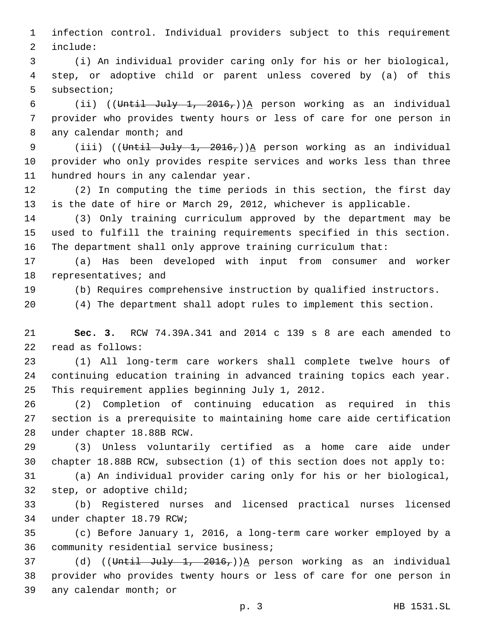1 infection control. Individual providers subject to this requirement 2 include:

3 (i) An individual provider caring only for his or her biological, 4 step, or adoptive child or parent unless covered by (a) of this 5 subsection;

6 (ii) ((Until July 1, 2016,))<sup>A</sup> person working as an individual 7 provider who provides twenty hours or less of care for one person in 8 any calendar month; and

9 (iii) ((Until July 1, 2016,))A person working as an individual 10 provider who only provides respite services and works less than three 11 hundred hours in any calendar year.

12 (2) In computing the time periods in this section, the first day 13 is the date of hire or March 29, 2012, whichever is applicable.

14 (3) Only training curriculum approved by the department may be 15 used to fulfill the training requirements specified in this section. 16 The department shall only approve training curriculum that:

17 (a) Has been developed with input from consumer and worker 18 representatives; and

19 (b) Requires comprehensive instruction by qualified instructors.

20 (4) The department shall adopt rules to implement this section.

21 **Sec. 3.** RCW 74.39A.341 and 2014 c 139 s 8 are each amended to 22 read as follows:

23 (1) All long-term care workers shall complete twelve hours of 24 continuing education training in advanced training topics each year. 25 This requirement applies beginning July 1, 2012.

26 (2) Completion of continuing education as required in this 27 section is a prerequisite to maintaining home care aide certification 28 under chapter 18.88B RCW.

29 (3) Unless voluntarily certified as a home care aide under 30 chapter 18.88B RCW, subsection (1) of this section does not apply to:

31 (a) An individual provider caring only for his or her biological, 32 step, or adoptive child;

33 (b) Registered nurses and licensed practical nurses licensed 34 under chapter 18.79 RCW;

35 (c) Before January 1, 2016, a long-term care worker employed by a 36 community residential service business;

37 (d) ((Until July 1, 2016,)) $A$  person working as an individual 38 provider who provides twenty hours or less of care for one person in 39 any calendar month; or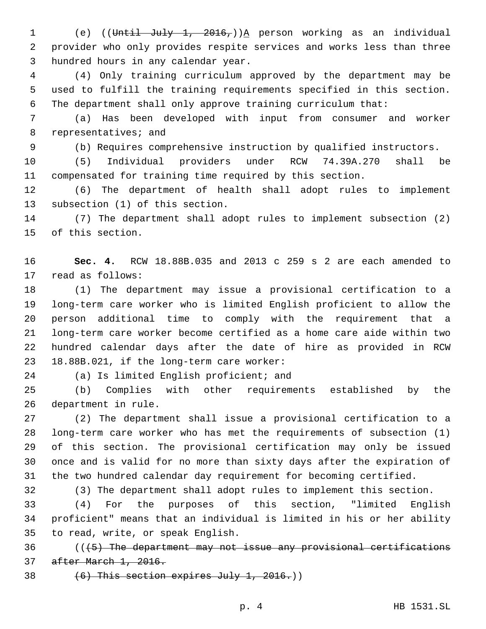(e) ((Until July 1, 2016,))A person working as an individual provider who only provides respite services and works less than three 3 hundred hours in any calendar year.

 (4) Only training curriculum approved by the department may be used to fulfill the training requirements specified in this section. The department shall only approve training curriculum that:

 (a) Has been developed with input from consumer and worker 8 representatives; and

(b) Requires comprehensive instruction by qualified instructors.

 (5) Individual providers under RCW 74.39A.270 shall be compensated for training time required by this section.

 (6) The department of health shall adopt rules to implement 13 subsection (1) of this section.

 (7) The department shall adopt rules to implement subsection (2) 15 of this section.

 **Sec. 4.** RCW 18.88B.035 and 2013 c 259 s 2 are each amended to 17 read as follows:

 (1) The department may issue a provisional certification to a long-term care worker who is limited English proficient to allow the person additional time to comply with the requirement that a long-term care worker become certified as a home care aide within two hundred calendar days after the date of hire as provided in RCW 23 18.88B.021, if the long-term care worker:

24 (a) Is limited English proficient; and

 (b) Complies with other requirements established by the 26 department in rule.

 (2) The department shall issue a provisional certification to a long-term care worker who has met the requirements of subsection (1) of this section. The provisional certification may only be issued once and is valid for no more than sixty days after the expiration of the two hundred calendar day requirement for becoming certified.

(3) The department shall adopt rules to implement this section.

 (4) For the purposes of this section, "limited English proficient" means that an individual is limited in his or her ability 35 to read, write, or speak English.

 (((5) The department may not issue any provisional certifications after March 1, 2016.

38  $(6)$  This section expires July 1, 2016.)

p. 4 HB 1531.SL